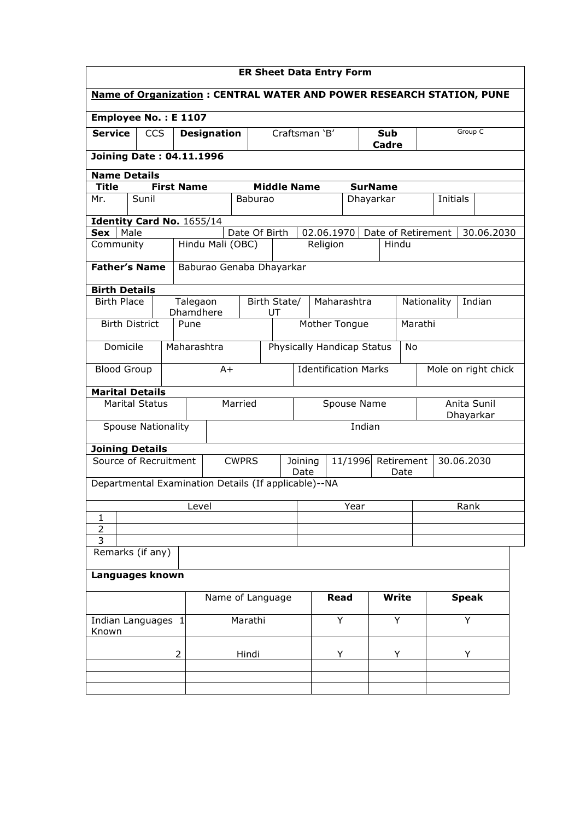| <b>ER Sheet Data Entry Form</b>                                             |                      |                       |                          |                 |                    |                                  |               |                    |                          |                     |              |
|-----------------------------------------------------------------------------|----------------------|-----------------------|--------------------------|-----------------|--------------------|----------------------------------|---------------|--------------------|--------------------------|---------------------|--------------|
| <b>Name of Organization: CENTRAL WATER AND POWER RESEARCH STATION, PUNE</b> |                      |                       |                          |                 |                    |                                  |               |                    |                          |                     |              |
|                                                                             | Employee No.: E 1107 |                       |                          |                 |                    |                                  |               |                    |                          |                     |              |
| <b>Service</b><br><b>CCS</b>                                                |                      |                       | <b>Designation</b>       |                 |                    | Craftsman 'B'<br>Sub<br>Cadre    |               |                    |                          |                     | Group C      |
| <b>Joining Date: 04.11.1996</b>                                             |                      |                       |                          |                 |                    |                                  |               |                    |                          |                     |              |
| <b>Name Details</b>                                                         |                      |                       |                          |                 |                    |                                  |               |                    |                          |                     |              |
| <b>Title</b>                                                                |                      | <b>First Name</b>     |                          |                 |                    | <b>Middle Name</b>               |               | <b>SurName</b>     |                          |                     |              |
| Sunil<br>Mr.                                                                |                      |                       |                          | Baburao         |                    |                                  |               | Dhayarkar          |                          | Initials            |              |
| Identity Card No. 1655/14                                                   |                      |                       |                          |                 |                    |                                  |               |                    |                          |                     |              |
| Male<br>Sex                                                                 |                      |                       |                          | Date Of Birth   |                    |                                  | 02.06.1970    | Date of Retirement |                          |                     | 30.06.2030   |
| Community                                                                   |                      |                       | Hindu Mali (OBC)         |                 |                    | Religion                         |               | Hindu              |                          |                     |              |
| <b>Father's Name</b>                                                        |                      |                       | Baburao Genaba Dhayarkar |                 |                    |                                  |               |                    |                          |                     |              |
| <b>Birth Details</b>                                                        |                      |                       |                          |                 |                    |                                  |               |                    |                          |                     |              |
| <b>Birth Place</b>                                                          |                      | Talegaon<br>Dhamdhere |                          | Birth State/    | UT                 |                                  | Maharashtra   |                    |                          | Nationality         | Indian       |
| <b>Birth District</b>                                                       |                      | Pune                  |                          |                 |                    |                                  | Mother Tongue |                    | Marathi                  |                     |              |
| Domicile                                                                    |                      | Maharashtra           |                          |                 |                    | Physically Handicap Status<br>No |               |                    |                          |                     |              |
| <b>Blood Group</b>                                                          |                      | $A+$                  |                          |                 |                    | <b>Identification Marks</b>      |               |                    |                          | Mole on right chick |              |
| <b>Marital Details</b>                                                      |                      |                       |                          |                 |                    |                                  |               |                    |                          |                     |              |
| <b>Marital Status</b><br>Married                                            |                      |                       |                          |                 | Spouse Name        |                                  |               |                    | Anita Sunil<br>Dhayarkar |                     |              |
| <b>Spouse Nationality</b>                                                   |                      |                       |                          |                 |                    |                                  | Indian        |                    |                          |                     |              |
| <b>Joining Details</b>                                                      |                      |                       |                          |                 |                    |                                  |               |                    |                          |                     |              |
| Source of Recruitment<br><b>CWPRS</b>                                       |                      |                       |                          | Joining<br>Date | 11/1996 Retirement |                                  | Date          |                    | 30.06.2030               |                     |              |
| Departmental Examination Details (If applicable)--NA                        |                      |                       |                          |                 |                    |                                  |               |                    |                          |                     |              |
|                                                                             |                      | Level                 |                          |                 |                    |                                  | Year          |                    |                          |                     | Rank         |
| 1                                                                           |                      |                       |                          |                 |                    |                                  |               |                    |                          |                     |              |
| $\overline{3}$                                                              | $\overline{2}$       |                       |                          |                 |                    |                                  |               |                    |                          |                     |              |
|                                                                             | Remarks (if any)     |                       |                          |                 |                    |                                  |               |                    |                          |                     |              |
| Languages known                                                             |                      |                       |                          |                 |                    |                                  |               |                    |                          |                     |              |
|                                                                             |                      |                       | Name of Language         |                 |                    |                                  | <b>Read</b>   | Write              |                          |                     | <b>Speak</b> |
| Indian Languages 1<br>Known                                                 |                      | Marathi               |                          |                 |                    | Y                                | Y             |                    |                          | Y                   |              |
|                                                                             |                      |                       |                          |                 |                    |                                  |               |                    |                          |                     |              |
|                                                                             | $\overline{2}$       |                       |                          | Hindi           |                    |                                  | Y             | Y                  |                          |                     | Y            |
|                                                                             |                      |                       |                          |                 |                    |                                  |               |                    |                          |                     |              |
|                                                                             |                      |                       |                          |                 |                    |                                  |               |                    |                          |                     |              |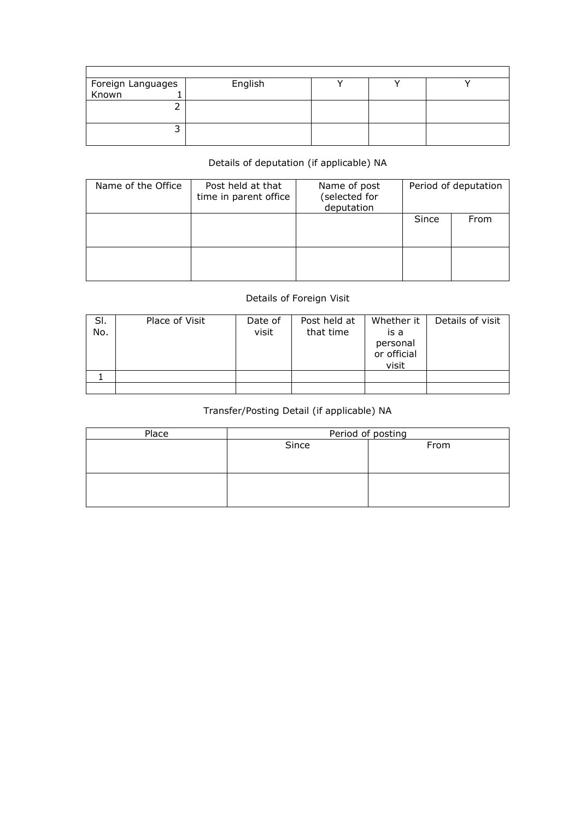|                              | English |  |  |
|------------------------------|---------|--|--|
| Foreign Languages<br>Known 1 |         |  |  |
|                              |         |  |  |
|                              |         |  |  |
|                              |         |  |  |
|                              |         |  |  |

## Details of deputation (if applicable) NA

| Name of the Office | Post held at that<br>time in parent office | Name of post<br>(selected for<br>deputation |       | Period of deputation |
|--------------------|--------------------------------------------|---------------------------------------------|-------|----------------------|
|                    |                                            |                                             | Since | From                 |
|                    |                                            |                                             |       |                      |

## Details of Foreign Visit

| SI.<br>No. | Place of Visit | Date of<br>visit | Post held at<br>that time | Whether it<br>is a<br>personal<br>or official<br>visit | Details of visit |
|------------|----------------|------------------|---------------------------|--------------------------------------------------------|------------------|
|            |                |                  |                           |                                                        |                  |
|            |                |                  |                           |                                                        |                  |

## Transfer/Posting Detail (if applicable) NA

| Place | Period of posting |      |  |  |  |  |
|-------|-------------------|------|--|--|--|--|
|       | Since             | From |  |  |  |  |
|       |                   |      |  |  |  |  |
|       |                   |      |  |  |  |  |
|       |                   |      |  |  |  |  |
|       |                   |      |  |  |  |  |
|       |                   |      |  |  |  |  |